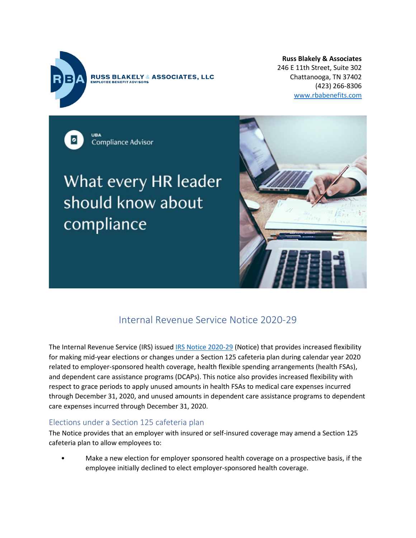

**RUSS BLAKELY & ASSOCIATES, LLC OYEE BENEEIT ADVISORS** 

**Russ Blakely & Associates** 246 E 11th Street, Suite 302 Chattanooga, TN 37402 (423) 266-8306 [www.rbabenefits.com](http://www.rbabenefits.com/)

Compliance Advisor

# What every HR leader should know about compliance



# Internal Revenue Service Notice 2020-29

The Internal Revenue Service (IRS) issued [IRS Notice 2020-29](http://send.ubabenefits.com/link.cfm?r=EgaMdCtNmKJdLYijeSKK-A%7E%7E&pe=VBXirnzcQo-aoXwi1X64A1qb3bZKVCvnkeUS03Fm0wNAjVPB-YZOM2LsdmynJM6orAuAmhQg3gTcZELWPzO5tg%7E%7E&t=xKjGIZNVo-OC_SeNrl2k1Q%7E%7E) (Notice) that provides increased flexibility for making mid-year elections or changes under a Section 125 cafeteria plan during calendar year 2020 related to employer-sponsored health coverage, health flexible spending arrangements (health FSAs), and dependent care assistance programs (DCAPs). This notice also provides increased flexibility with respect to grace periods to apply unused amounts in health FSAs to medical care expenses incurred through December 31, 2020, and unused amounts in dependent care assistance programs to dependent care expenses incurred through December 31, 2020.

# Elections under a Section 125 cafeteria plan

The Notice provides that an employer with insured or self-insured coverage may amend a Section 125 cafeteria plan to allow employees to:

• Make a new election for employer sponsored health coverage on a prospective basis, if the employee initially declined to elect employer-sponsored health coverage.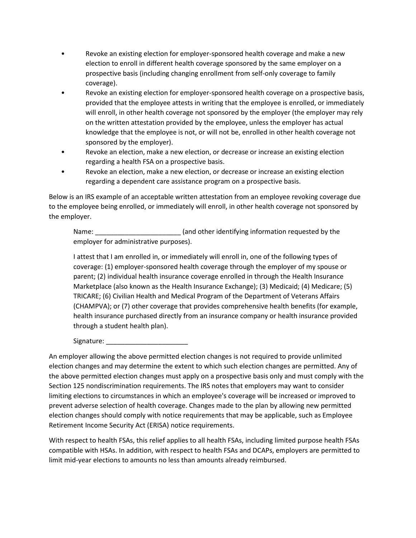- Revoke an existing election for employer-sponsored health coverage and make a new election to enroll in different health coverage sponsored by the same employer on a prospective basis (including changing enrollment from self-only coverage to family coverage).
- Revoke an existing election for employer-sponsored health coverage on a prospective basis, provided that the employee attests in writing that the employee is enrolled, or immediately will enroll, in other health coverage not sponsored by the employer (the employer may rely on the written attestation provided by the employee, unless the employer has actual knowledge that the employee is not, or will not be, enrolled in other health coverage not sponsored by the employer).
- Revoke an election, make a new election, or decrease or increase an existing election regarding a health FSA on a prospective basis.
- Revoke an election, make a new election, or decrease or increase an existing election regarding a dependent care assistance program on a prospective basis.

Below is an IRS example of an acceptable written attestation from an employee revoking coverage due to the employee being enrolled, or immediately will enroll, in other health coverage not sponsored by the employer.

Name: \_\_\_\_\_\_\_\_\_\_\_\_\_\_\_\_\_\_\_\_\_\_\_\_\_\_\_\_\_\_(and other identifying information requested by the employer for administrative purposes).

I attest that I am enrolled in, or immediately will enroll in, one of the following types of coverage: (1) employer-sponsored health coverage through the employer of my spouse or parent; (2) individual health insurance coverage enrolled in through the Health Insurance Marketplace (also known as the Health Insurance Exchange); (3) Medicaid; (4) Medicare; (5) TRICARE; (6) Civilian Health and Medical Program of the Department of Veterans Affairs (CHAMPVA); or (7) other coverage that provides comprehensive health benefits (for example, health insurance purchased directly from an insurance company or health insurance provided through a student health plan).

Signature:

An employer allowing the above permitted election changes is not required to provide unlimited election changes and may determine the extent to which such election changes are permitted. Any of the above permitted election changes must apply on a prospective basis only and must comply with the Section 125 nondiscrimination requirements. The IRS notes that employers may want to consider limiting elections to circumstances in which an employee's coverage will be increased or improved to prevent adverse selection of health coverage. Changes made to the plan by allowing new permitted election changes should comply with notice requirements that may be applicable, such as Employee Retirement Income Security Act (ERISA) notice requirements.

With respect to health FSAs, this relief applies to all health FSAs, including limited purpose health FSAs compatible with HSAs. In addition, with respect to health FSAs and DCAPs, employers are permitted to limit mid-year elections to amounts no less than amounts already reimbursed.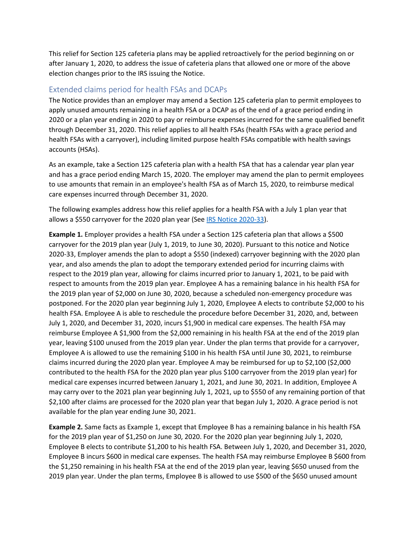This relief for Section 125 cafeteria plans may be applied retroactively for the period beginning on or after January 1, 2020, to address the issue of cafeteria plans that allowed one or more of the above election changes prior to the IRS issuing the Notice.

#### Extended claims period for health FSAs and DCAPs

The Notice provides than an employer may amend a Section 125 cafeteria plan to permit employees to apply unused amounts remaining in a health FSA or a DCAP as of the end of a grace period ending in 2020 or a plan year ending in 2020 to pay or reimburse expenses incurred for the same qualified benefit through December 31, 2020. This relief applies to all health FSAs (health FSAs with a grace period and health FSAs with a carryover), including limited purpose health FSAs compatible with health savings accounts (HSAs).

As an example, take a Section 125 cafeteria plan with a health FSA that has a calendar year plan year and has a grace period ending March 15, 2020. The employer may amend the plan to permit employees to use amounts that remain in an employee's health FSA as of March 15, 2020, to reimburse medical care expenses incurred through December 31, 2020.

The following examples address how this relief applies for a health FSA with a July 1 plan year that allows a \$550 carryover for the 2020 plan year (See [IRS Notice 2020-33\)](http://send.ubabenefits.com/link.cfm?r=EgaMdCtNmKJdLYijeSKK-A%7E%7E&pe=eUiWZ9nC2cuKF2d46EYmCAbgTdHl1tQsqO1E0PXsrBric8KfSPqD1uNmliSzOH_4bkP8a45WC-VXKcR7ehg80w%7E%7E&t=xKjGIZNVo-OC_SeNrl2k1Q%7E%7E).

**Example 1.** Employer provides a health FSA under a Section 125 cafeteria plan that allows a \$500 carryover for the 2019 plan year (July 1, 2019, to June 30, 2020). Pursuant to this notice and Notice 2020-33, Employer amends the plan to adopt a \$550 (indexed) carryover beginning with the 2020 plan year, and also amends the plan to adopt the temporary extended period for incurring claims with respect to the 2019 plan year, allowing for claims incurred prior to January 1, 2021, to be paid with respect to amounts from the 2019 plan year. Employee A has a remaining balance in his health FSA for the 2019 plan year of \$2,000 on June 30, 2020, because a scheduled non-emergency procedure was postponed. For the 2020 plan year beginning July 1, 2020, Employee A elects to contribute \$2,000 to his health FSA. Employee A is able to reschedule the procedure before December 31, 2020, and, between July 1, 2020, and December 31, 2020, incurs \$1,900 in medical care expenses. The health FSA may reimburse Employee A \$1,900 from the \$2,000 remaining in his health FSA at the end of the 2019 plan year, leaving \$100 unused from the 2019 plan year. Under the plan terms that provide for a carryover, Employee A is allowed to use the remaining \$100 in his health FSA until June 30, 2021, to reimburse claims incurred during the 2020 plan year. Employee A may be reimbursed for up to \$2,100 (\$2,000 contributed to the health FSA for the 2020 plan year plus \$100 carryover from the 2019 plan year) for medical care expenses incurred between January 1, 2021, and June 30, 2021. In addition, Employee A may carry over to the 2021 plan year beginning July 1, 2021, up to \$550 of any remaining portion of that \$2,100 after claims are processed for the 2020 plan year that began July 1, 2020. A grace period is not available for the plan year ending June 30, 2021.

**Example 2.** Same facts as Example 1, except that Employee B has a remaining balance in his health FSA for the 2019 plan year of \$1,250 on June 30, 2020. For the 2020 plan year beginning July 1, 2020, Employee B elects to contribute \$1,200 to his health FSA. Between July 1, 2020, and December 31, 2020, Employee B incurs \$600 in medical care expenses. The health FSA may reimburse Employee B \$600 from the \$1,250 remaining in his health FSA at the end of the 2019 plan year, leaving \$650 unused from the 2019 plan year. Under the plan terms, Employee B is allowed to use \$500 of the \$650 unused amount